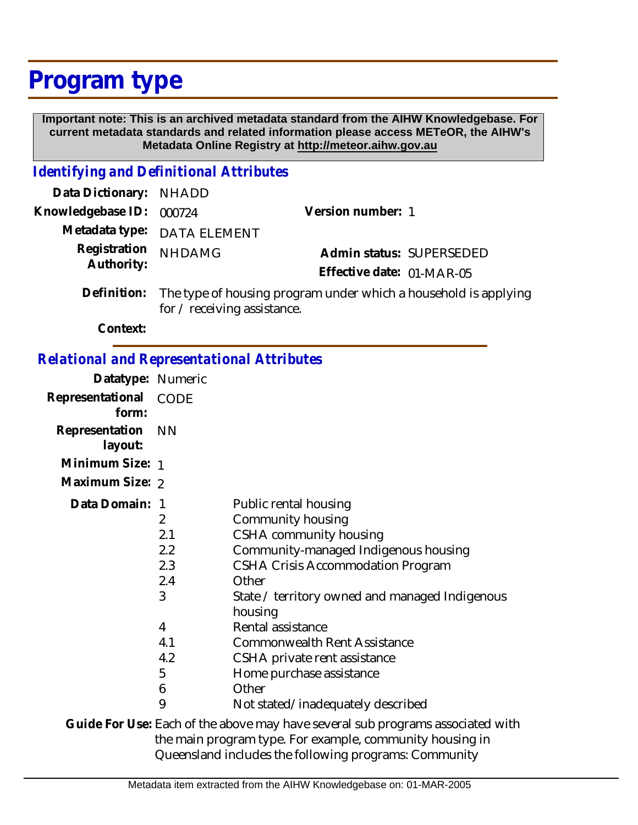## **Program type**

 **Important note: This is an archived metadata standard from the AIHW Knowledgebase. For current metadata standards and related information please access METeOR, the AIHW's Metadata Online Registry at http://meteor.aihw.gov.au**

## *Identifying and Definitional Attributes*

| Data Dictionary: NHADD            |                                                                            |                           |                          |
|-----------------------------------|----------------------------------------------------------------------------|---------------------------|--------------------------|
| Knowledgebase ID: 000724          |                                                                            | Version number: 1         |                          |
|                                   | Metadata type: DATA ELEMENT                                                |                           |                          |
| Registration NHDAMG<br>Authority: |                                                                            |                           | Admin status: SUPERSEDED |
|                                   |                                                                            | Effective date: 01-MAR-05 |                          |
|                                   | Definition: The type of housing program under which a household is appoint |                           |                          |

The type of housing program under which a household is applying for / receiving assistance. **Definition:**

**Context:**

## *Relational and Representational Attributes*

| Datatype: Numeric            |                                                 |                                                                                                                                                                                                              |
|------------------------------|-------------------------------------------------|--------------------------------------------------------------------------------------------------------------------------------------------------------------------------------------------------------------|
| Representational<br>form:    | CODE                                            |                                                                                                                                                                                                              |
| Representation NN<br>layout: |                                                 |                                                                                                                                                                                                              |
| Minimum Size: 1              |                                                 |                                                                                                                                                                                                              |
| Maximum Size: 2              |                                                 |                                                                                                                                                                                                              |
| Data Domain: 1               | $\overline{2}$<br>2.1<br>2.2<br>2.3<br>2.4<br>3 | Public rental housing<br>Community housing<br>CSHA community housing<br>Community-managed Indigenous housing<br>CSHA Crisis Accommodation Program<br>Other<br>State / territory owned and managed Indigenous |
|                              | 4<br>4.1<br>4.2<br>5<br>6<br>9                  | housing<br>Rental assistance<br><b>Commonwealth Rent Assistance</b><br>CSHA private rent assistance<br>Home purchase assistance<br>Other<br>Not stated/inadequately described                                |
|                              |                                                 | Culde Feel lee, Feel of the chaus meau hous coused out precepted accordated wit                                                                                                                              |

Guide For Use: Each of the above may have several sub programs associated with the main program type. For example, community housing in Queensland includes the following programs: Community